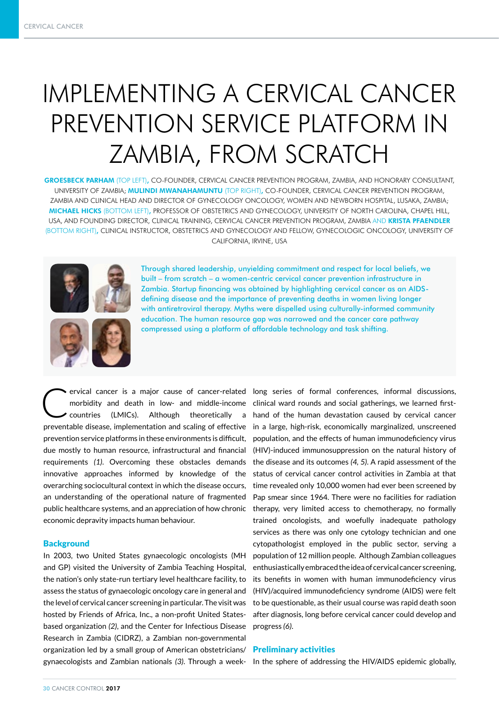# IMPLEMENTING A CERVICAL CANCER PREVENTION SERVICE PLATFORM IN ZAMBIA, FROM SCRATCH

GROESBECK PARHAM (TOP LEFT), CO-FOUNDER, CERVICAL CANCER PREVENTION PROGRAM, ZAMBIA, AND HONORARY CONSULTANT, UNIVERSITY OF ZAMBIA; MULINDI MWANAHAMUNTU (TOP RIGHT), CO-FOUNDER, CERVICAL CANCER PREVENTION PROGRAM, ZAMBIA AND CLINICAL HEAD AND DIRECTOR OF GYNECOLOGY ONCOLOGY, WOMEN AND NEWBORN HOSPITAL, LUSAKA, ZAMBIA; MICHAEL HICKS (BOTTOM LEFT), PROFESSOR OF OBSTETRICS AND GYNECOLOGY, UNIVERSITY OF NORTH CAROLINA, CHAPEL HILL, USA, AND FOUNDING DIRECTOR, CLINICAL TRAINING, CERVICAL CANCER PREVENTION PROGRAM, ZAMBIA AND KRISTA PFAENDLER (BOTTOM RIGHT), CLINICAL INSTRUCTOR, OBSTETRICS AND GYNECOLOGY AND FELLOW, GYNECOLOGIC ONCOLOGY, UNIVERSITY OF CALIFORNIA, IRVINE, USA





Through shared leadership, unyielding commitment and respect for local beliefs, we built – from scratch – a women-centric cervical cancer prevention infrastructure in Zambia. Startup financing was obtained by highlighting cervical cancer as an AIDSdefining disease and the importance of preventing deaths in women living longer with antiretroviral therapy. Myths were dispelled using culturally-informed community education. The human resource gap was narrowed and the cancer care pathway compressed using a platform of affordable technology and task shifting.

ervical cancer is a major cause of cancer-related long series of formal conferences, informal discussions, morbidity and death in low- and middle-income clinical ward rounds and social gatherings, we learned first-countrie morbidity and death in low- and middle-income countries (LMICs). Although theoretically a preventable disease, implementation and scaling of effective prevention service platforms in these environments is difficult, due mostly to human resource, infrastructural and financial requirements *(1)*. Overcoming these obstacles demands innovative approaches informed by knowledge of the overarching sociocultural context in which the disease occurs, an understanding of the operational nature of fragmented public healthcare systems, and an appreciation of how chronic economic depravity impacts human behaviour.

## **Background**

In 2003, two United States gynaecologic oncologists (MH and GP) visited the University of Zambia Teaching Hospital, the nation's only state-run tertiary level healthcare facility, to assess the status of gynaecologic oncology care in general and the level of cervical cancer screening in particular. The visit was hosted by Friends of Africa, Inc., a non-profit United Statesbased organization *(2)*, and the Center for Infectious Disease Research in Zambia (CIDRZ), a Zambian non-governmental organization led by a small group of American obstetricians/ gynaecologists and Zambian nationals *(3)*. Through a week-In the sphere of addressing the HIV/AIDS epidemic globally,

clinical ward rounds and social gatherings, we learned firsthand of the human devastation caused by cervical cancer in a large, high-risk, economically marginalized, unscreened population, and the effects of human immunodeficiency virus (HIV)-induced immunosuppression on the natural history of the disease and its outcomes *(4, 5)*. A rapid assessment of the status of cervical cancer control activities in Zambia at that time revealed only 10,000 women had ever been screened by Pap smear since 1964. There were no facilities for radiation therapy, very limited access to chemotherapy, no formally trained oncologists, and woefully inadequate pathology services as there was only one cytology technician and one cytopathologist employed in the public sector, serving a population of 12 million people. Although Zambian colleagues enthusiastically embraced the idea of cervical cancer screening, its benefits in women with human immunodeficiency virus (HIV)/acquired immunodeficiency syndrome (AIDS) were felt to be questionable, as their usual course was rapid death soon after diagnosis, long before cervical cancer could develop and progress *(6)*.

## Preliminary activities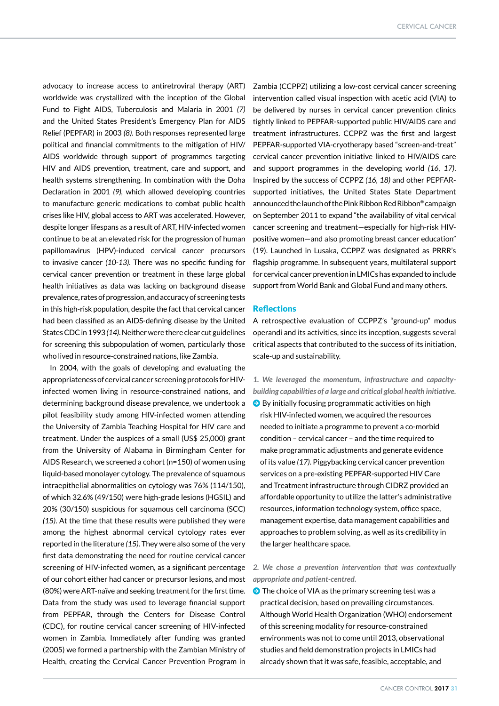advocacy to increase access to antiretroviral therapy (ART) worldwide was crystallized with the inception of the Global Fund to Fight AIDS, Tuberculosis and Malaria in 2001 *(7)*  and the United States President's Emergency Plan for AIDS Relief (PEPFAR) in 2003 *(8)*. Both responses represented large political and financial commitments to the mitigation of HIV/ AIDS worldwide through support of programmes targeting HIV and AIDS prevention, treatment, care and support, and health systems strengthening. In combination with the Doha Declaration in 2001 *(9),* which allowed developing countries to manufacture generic medications to combat public health crises like HIV, global access to ART was accelerated. However, despite longer lifespans as a result of ART, HIV-infected women continue to be at an elevated risk for the progression of human papillomavirus (HPV)-induced cervical cancer precursors to invasive cancer *(10-13)*. There was no specific funding for cervical cancer prevention or treatment in these large global health initiatives as data was lacking on background disease prevalence, rates of progression, and accuracy of screening tests in this high-risk population, despite the fact that cervical cancer had been classified as an AIDS-defining disease by the United States CDC in 1993 *(14)*. Neither were there clear cut guidelines for screening this subpopulation of women, particularly those who lived in resource-constrained nations, like Zambia.

In 2004, with the goals of developing and evaluating the appropriateness of cervical cancer screening protocols for HIVinfected women living in resource-constrained nations, and determining background disease prevalence, we undertook a pilot feasibility study among HIV-infected women attending the University of Zambia Teaching Hospital for HIV care and treatment. Under the auspices of a small (US\$ 25,000) grant from the University of Alabama in Birmingham Center for AIDS Research, we screened a cohort (n=150) of women using liquid-based monolayer cytology. The prevalence of squamous intraepithelial abnormalities on cytology was 76% (114/150), of which 32.6% (49/150) were high-grade lesions (HGSIL) and 20% (30/150) suspicious for squamous cell carcinoma (SCC) *(15)*. At the time that these results were published they were among the highest abnormal cervical cytology rates ever reported in the literature *(15)*. They were also some of the very first data demonstrating the need for routine cervical cancer screening of HIV-infected women, as a significant percentage of our cohort either had cancer or precursor lesions, and most (80%) were ART-naïve and seeking treatment for the first time. Data from the study was used to leverage financial support from PEPFAR, through the Centers for Disease Control (CDC), for routine cervical cancer screening of HIV-infected women in Zambia. Immediately after funding was granted (2005) we formed a partnership with the Zambian Ministry of Health, creating the Cervical Cancer Prevention Program in Zambia (CCPPZ) utilizing a low-cost cervical cancer screening intervention called visual inspection with acetic acid (VIA) to be delivered by nurses in cervical cancer prevention clinics tightly linked to PEPFAR-supported public HIV/AIDS care and treatment infrastructures. CCPPZ was the first and largest PEPFAR-supported VIA-cryotherapy based "screen-and-treat" cervical cancer prevention initiative linked to HIV/AIDS care and support programmes in the developing world *(16, 17)*. Inspired by the success of CCPPZ *(16, 18)* and other PEPFARsupported initiatives, the United States State Department announced the launch of the Pink Ribbon Red Ribbon® campaign on September 2011 to expand "the availability of vital cervical cancer screening and treatment—especially for high-risk HIVpositive women—and also promoting breast cancer education" (19). Launched in Lusaka, CCPPZ was designated as PRRR's flagship programme. In subsequent years, multilateral support for cervical cancer prevention in LMICs has expanded to include support from World Bank and Global Fund and many others.

## **Reflections**

A retrospective evaluation of CCPPZ's "ground-up" modus operandi and its activities, since its inception, suggests several critical aspects that contributed to the success of its initiation, scale-up and sustainability.

- *1. We leveraged the momentum, infrastructure and capacitybuilding capabilities of a large and critical global health initiative.*
- $\bigcirc$  By initially focusing programmatic activities on high risk HIV-infected women, we acquired the resources needed to initiate a programme to prevent a co-morbid condition – cervical cancer – and the time required to make programmatic adjustments and generate evidence of its value *(17)*. Piggybacking cervical cancer prevention services on a pre-existing PEPFAR-supported HIV Care and Treatment infrastructure through CIDRZ provided an affordable opportunity to utilize the latter's administrative resources, information technology system, office space, management expertise, data management capabilities and approaches to problem solving, as well as its credibility in the larger healthcare space.

## *2. We chose a prevention intervention that was contextually appropriate and patient-centred.*

The choice of VIA as the primary screening test was a practical decision, based on prevailing circumstances. Although World Health Organization (WHO) endorsement of this screening modality for resource-constrained environments was not to come until 2013, observational studies and field demonstration projects in LMICs had already shown that it was safe, feasible, acceptable, and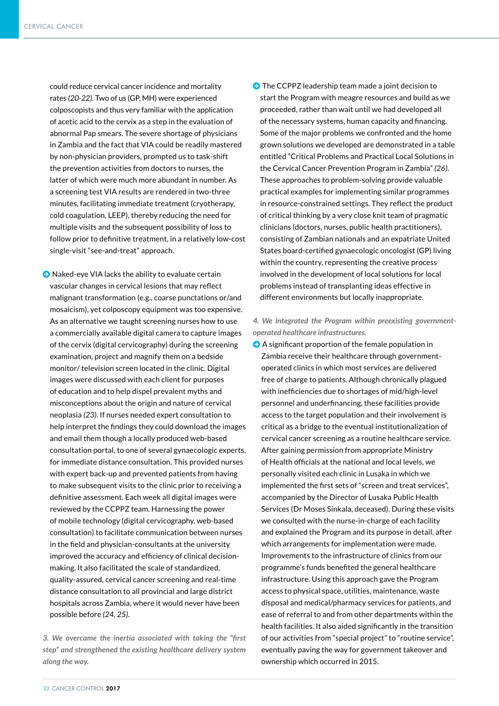could reduce cervical cancer incidence and mortality rates *(20-22)*. Two of us (GP, MH) were experienced colposcopists and thus very familiar with the application of acetic acid to the cervix as a step in the evaluation of abnormal Pap smears. The severe shortage of physicians in Zambia and the fact that VIA could be readily mastered by non-physician providers, prompted us to task-shift the prevention activities from doctors to nurses, the latter of which were much more abundant in number. As a screening test VIA results are rendered in two-three minutes, facilitating immediate treatment (cryotherapy, cold coagulation, LEEP), thereby reducing the need for multiple visits and the subsequent possibility of loss to follow prior to definitive treatment, in a relatively low-cost single-visit "see-and-treat" approach.

 $\Theta$  Naked-eye VIA lacks the ability to evaluate certain vascular changes in cervical lesions that may reflect malignant transformation (e.g., coarse punctations or/and mosaicism), yet colposcopy equipment was too expensive. As an alternative we taught screening nurses how to use a commercially available digital camera to capture images of the cervix (digital cervicography) during the screening examination, project and magnify them on a bedside monitor/ television screen located in the clinic. Digital images were discussed with each client for purposes of education and to help dispel prevalent myths and misconceptions about the origin and nature of cervical neoplasia *(23)*. If nurses needed expert consultation to help interpret the findings they could download the images and email them though a locally produced web-based consultation portal, to one of several gynaecologic experts, for immediate distance consultation. This provided nurses with expert back-up and prevented patients from having to make subsequent visits to the clinic prior to receiving a definitive assessment. Each week all digital images were reviewed by the CCPPZ team. Harnessing the power of mobile technology (digital cervicography, web-based consultation) to facilitate communication between nurses in the field and physician-consultants at the university improved the accuracy and efficiency of clinical decisionmaking. It also facilitated the scale of standardized, quality-assured, cervical cancer screening and real-time distance consultation to all provincial and large district hospitals across Zambia, where it would never have been possible before *(24, 25)*.

*3. We overcame the inertia associated with taking the "first step" and strengthened the existing healthcare delivery system along the way.*

 $\bullet$  The CCPPZ leadership team made a joint decision to start the Program with meagre resources and build as we proceeded, rather than wait until we had developed all of the necessary systems, human capacity and financing. Some of the major problems we confronted and the home grown solutions we developed are demonstrated in a table entitled "Critical Problems and Practical Local Solutions in the Cervical Cancer Prevention Program in Zambia" *(26)*. These approaches to problem-solving provide valuable practical examples for implementing similar programmes in resource-constrained settings. They reflect the product of critical thinking by a very close knit team of pragmatic clinicians (doctors, nurses, public health practitioners), consisting of Zambian nationals and an expatriate United States board-certified gynaecologic oncologist (GP) living within the country, representing the creative process involved in the development of local solutions for local problems instead of transplanting ideas effective in different environments but locally inappropriate.

*4. We integrated the Program within preexisting governmentoperated healthcare infrastructures.*

 $\Theta$  A significant proportion of the female population in Zambia receive their healthcare through governmentoperated clinics in which most services are delivered free of charge to patients. Although chronically plagued with inefficiencies due to shortages of mid/high-level personnel and underfinancing, these facilities provide access to the target population and their involvement is critical as a bridge to the eventual institutionalization of cervical cancer screening as a routine healthcare service. After gaining permission from appropriate Ministry of Health officials at the national and local levels, we personally visited each clinic in Lusaka in which we implemented the first sets of "screen and treat services", accompanied by the Director of Lusaka Public Health Services (Dr Moses Sinkala, deceased). During these visits we consulted with the nurse-in-charge of each facility and explained the Program and its purpose in detail, after which arrangements for implementation were made. Improvements to the infrastructure of clinics from our programme's funds benefited the general healthcare infrastructure. Using this approach gave the Program access to physical space, utilities, maintenance, waste disposal and medical/pharmacy services for patients, and ease of referral to and from other departments within the health facilities. It also aided significantly in the transition of our activities from "special project" to "routine service", eventually paving the way for government takeover and ownership which occurred in 2015.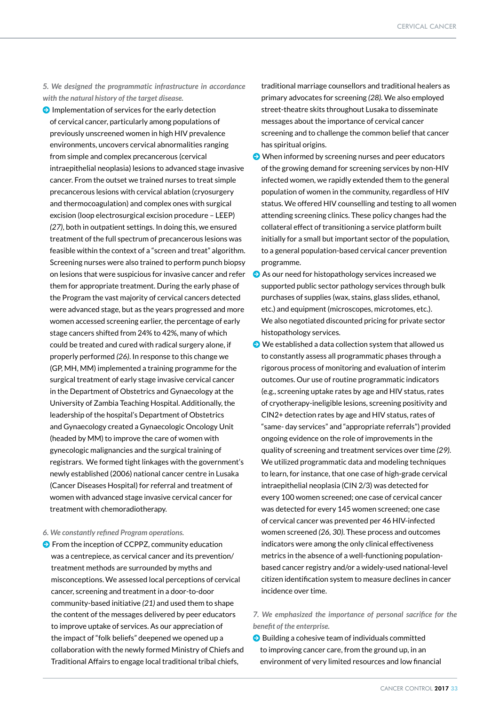*5. We designed the programmatic infrastructure in accordance with the natural history of the target disease.*

 $\bigcirc$  Implementation of services for the early detection of cervical cancer, particularly among populations of previously unscreened women in high HIV prevalence environments, uncovers cervical abnormalities ranging from simple and complex precancerous (cervical intraepithelial neoplasia) lesions to advanced stage invasive cancer. From the outset we trained nurses to treat simple precancerous lesions with cervical ablation (cryosurgery and thermocoagulation) and complex ones with surgical excision (loop electrosurgical excision procedure – LEEP) *(27)*, both in outpatient settings. In doing this, we ensured treatment of the full spectrum of precancerous lesions was feasible within the context of a "screen and treat" algorithm. Screening nurses were also trained to perform punch biopsy on lesions that were suspicious for invasive cancer and refer them for appropriate treatment. During the early phase of the Program the vast majority of cervical cancers detected were advanced stage, but as the years progressed and more women accessed screening earlier, the percentage of early stage cancers shifted from 24% to 42%, many of which could be treated and cured with radical surgery alone, if properly performed *(26)*. In response to this change we (GP, MH, MM) implemented a training programme for the surgical treatment of early stage invasive cervical cancer in the Department of Obstetrics and Gynaecology at the University of Zambia Teaching Hospital. Additionally, the leadership of the hospital's Department of Obstetrics and Gynaecology created a Gynaecologic Oncology Unit (headed by MM) to improve the care of women with gynecologic malignancies and the surgical training of registrars. We formed tight linkages with the government's newly established (2006) national cancer centre in Lusaka (Cancer Diseases Hospital) for referral and treatment of women with advanced stage invasive cervical cancer for treatment with chemoradiotherapy.

#### *6. We constantly refined Program operations.*

**O** From the inception of CCPPZ, community education was a centrepiece, as cervical cancer and its prevention/ treatment methods are surrounded by myths and misconceptions. We assessed local perceptions of cervical cancer, screening and treatment in a door-to-door community-based initiative *(21)* and used them to shape the content of the messages delivered by peer educators to improve uptake of services. As our appreciation of the impact of "folk beliefs" deepened we opened up a collaboration with the newly formed Ministry of Chiefs and Traditional Affairs to engage local traditional tribal chiefs,

traditional marriage counsellors and traditional healers as primary advocates for screening *(28).* We also employed street-theatre skits throughout Lusaka to disseminate messages about the importance of cervical cancer screening and to challenge the common belief that cancer has spiritual origins.

- $\bullet$  When informed by screening nurses and peer educators of the growing demand for screening services by non-HIV infected women, we rapidly extended them to the general population of women in the community, regardless of HIV status. We offered HIV counselling and testing to all women attending screening clinics. These policy changes had the collateral effect of transitioning a service platform built initially for a small but important sector of the population, to a general population-based cervical cancer prevention programme.
- As our need for histopathology services increased we supported public sector pathology services through bulk purchases of supplies (wax, stains, glass slides, ethanol, etc.) and equipment (microscopes, microtomes, etc.). We also negotiated discounted pricing for private sector histopathology services.
- $\bullet$  We established a data collection system that allowed us to constantly assess all programmatic phases through a rigorous process of monitoring and evaluation of interim outcomes. Our use of routine programmatic indicators (e.g., screening uptake rates by age and HIV status, rates of cryotherapy-ineligible lesions, screening positivity and CIN2+ detection rates by age and HIV status, rates of "same- day services" and "appropriate referrals") provided ongoing evidence on the role of improvements in the quality of screening and treatment services over time *(29)*. We utilized programmatic data and modeling techniques to learn, for instance, that one case of high-grade cervical intraepithelial neoplasia (CIN 2/3) was detected for every 100 women screened; one case of cervical cancer was detected for every 145 women screened; one case of cervical cancer was prevented per 46 HIV-infected women screened *(26, 30)*. These process and outcomes indicators were among the only clinical effectiveness metrics in the absence of a well-functioning populationbased cancer registry and/or a widely-used national-level citizen identification system to measure declines in cancer incidence over time.

## *7. We emphasized the importance of personal sacrifice for the benefit of the enterprise.*

 $\bullet$  Building a cohesive team of individuals committed to improving cancer care, from the ground up, in an environment of very limited resources and low financial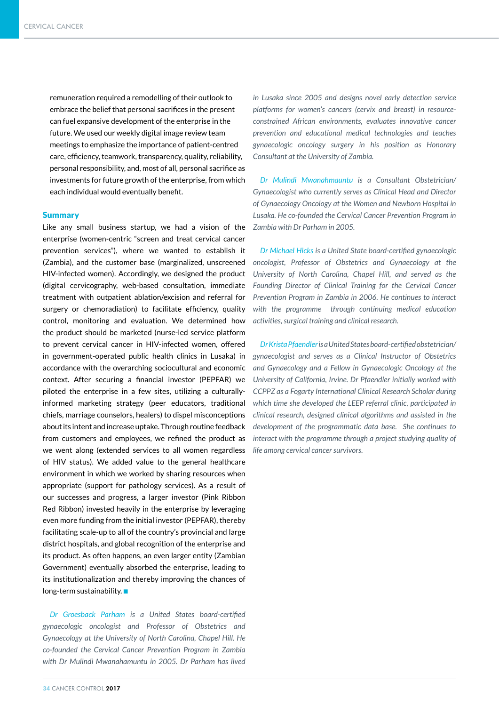remuneration required a remodelling of their outlook to embrace the belief that personal sacrifices in the present can fuel expansive development of the enterprise in the future. We used our weekly digital image review team meetings to emphasize the importance of patient-centred care, efficiency, teamwork, transparency, quality, reliability, personal responsibility, and, most of all, personal sacrifice as investments for future growth of the enterprise, from which each individual would eventually benefit.

## **Summary**

Like any small business startup, we had a vision of the enterprise (women-centric "screen and treat cervical cancer prevention services"), where we wanted to establish it (Zambia), and the customer base (marginalized, unscreened HIV-infected women). Accordingly, we designed the product (digital cervicography, web-based consultation, immediate treatment with outpatient ablation/excision and referral for surgery or chemoradiation) to facilitate efficiency, quality control, monitoring and evaluation. We determined how the product should be marketed (nurse-led service platform to prevent cervical cancer in HIV-infected women, offered in government-operated public health clinics in Lusaka) in accordance with the overarching sociocultural and economic context. After securing a financial investor (PEPFAR) we piloted the enterprise in a few sites, utilizing a culturallyinformed marketing strategy (peer educators, traditional chiefs, marriage counselors, healers) to dispel misconceptions about its intent and increase uptake. Through routine feedback from customers and employees, we refined the product as we went along (extended services to all women regardless of HIV status). We added value to the general healthcare environment in which we worked by sharing resources when appropriate (support for pathology services). As a result of our successes and progress, a larger investor (Pink Ribbon Red Ribbon) invested heavily in the enterprise by leveraging even more funding from the initial investor (PEPFAR), thereby facilitating scale-up to all of the country's provincial and large district hospitals, and global recognition of the enterprise and its product. As often happens, an even larger entity (Zambian Government) eventually absorbed the enterprise, leading to its institutionalization and thereby improving the chances of  $long-term$  sustainability.

*Dr Groesback Parham is a United States board-certified gynaecologic oncologist and Professor of Obstetrics and Gynaecology at the University of North Carolina, Chapel Hill. He co-founded the Cervical Cancer Prevention Program in Zambia with Dr Mulindi Mwanahamuntu in 2005. Dr Parham has lived*  *in Lusaka since 2005 and designs novel early detection service platforms for women's cancers (cervix and breast) in resourceconstrained African environments, evaluates innovative cancer prevention and educational medical technologies and teaches gynaecologic oncology surgery in his position as Honorary Consultant at the University of Zambia.* 

*Dr Mulindi Mwanahmauntu is a Consultant Obstetrician/ Gynaecologist who currently serves as Clinical Head and Director of Gynaecology Oncology at the Women and Newborn Hospital in Lusaka. He co-founded the Cervical Cancer Prevention Program in Zambia with Dr Parham in 2005.*

*Dr Michael Hicks is a United State board-certified gynaecologic oncologist, Professor of Obstetrics and Gynaecology at the University of North Carolina, Chapel Hill, and served as the Founding Director of Clinical Training for the Cervical Cancer Prevention Program in Zambia in 2006. He continues to interact*  with the programme through continuing medical education *activities, surgical training and clinical research.*

*Dr Krista Pfaendler is a United States board-certified obstetrician/ gynaecologist and serves as a Clinical Instructor of Obstetrics and Gynaecology and a Fellow in Gynaecologic Oncology at the University of California, Irvine. Dr Pfaendler initially worked with CCPPZ as a Fogarty International Clinical Research Scholar during which time she developed the LEEP referral clinic, participated in clinical research, designed clinical algorithms and assisted in the development of the programmatic data base. She continues to interact with the programme through a project studying quality of life among cervical cancer survivors.*